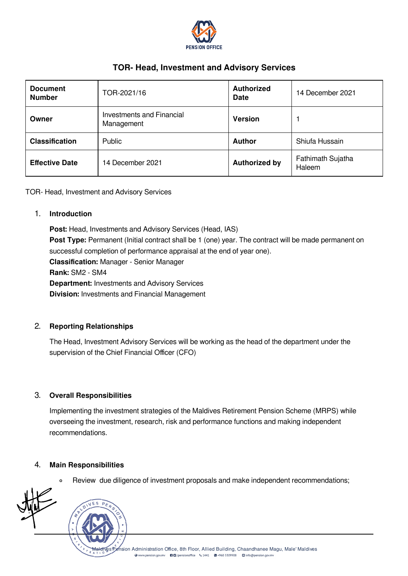

# TOR- Head, Investment and Advisory Services

| <b>Document</b><br><b>Number</b> | TOR-2021/16                             | <b>Authorized</b><br><b>Date</b> | 14 December 2021            |
|----------------------------------|-----------------------------------------|----------------------------------|-----------------------------|
| Owner                            | Investments and Financial<br>Management | <b>Version</b>                   |                             |
| <b>Classification</b>            | Public                                  | <b>Author</b>                    | Shiufa Hussain              |
| <b>Effective Date</b>            | 14 December 2021                        | <b>Authorized by</b>             | Fathimath Sujatha<br>Haleem |

TOR- Head, Investment and Advisory Services

#### 1. Introduction

Post: Head, Investments and Advisory Services (Head, IAS) Post Type: Permanent (Initial contract shall be 1 (one) year. The contract will be made permanent on successful completion of performance appraisal at the end of year one). Classification: Manager - Senior Manager Rank: SM2 - SM4 Department: Investments and Advisory Services Division: Investments and Financial Management

## 2. Reporting Relationships

The Head, Investment Advisory Services will be working as the head of the department under the supervision of the Chief Financial Officer (CFO)

#### 3. Overall Responsibilities

Implementing the investment strategies of the Maldives Retirement Pension Scheme (MRPS) while overseeing the investment, research, risk and performance functions and making independent recommendations.

#### 4. Main Responsibilities

Review due diligence of investment proposals and make independent recommendations; $\circ$